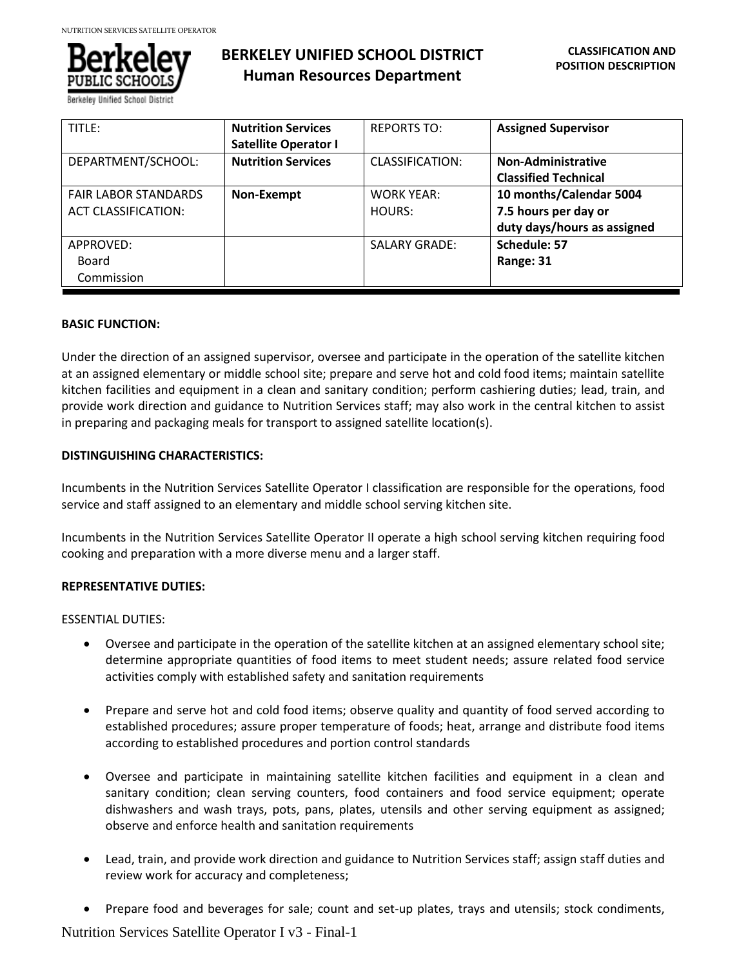

# **BERKELEY UNIFIED SCHOOL DISTRICT Human Resources Department**

| TITLE:                      | <b>Nutrition Services</b>   | <b>REPORTS TO:</b>     | <b>Assigned Supervisor</b>  |
|-----------------------------|-----------------------------|------------------------|-----------------------------|
|                             | <b>Satellite Operator I</b> |                        |                             |
| DEPARTMENT/SCHOOL:          | <b>Nutrition Services</b>   | <b>CLASSIFICATION:</b> | <b>Non-Administrative</b>   |
|                             |                             |                        | <b>Classified Technical</b> |
| <b>FAIR LABOR STANDARDS</b> | Non-Exempt                  | <b>WORK YEAR:</b>      | 10 months/Calendar 5004     |
| <b>ACT CLASSIFICATION:</b>  |                             | HOURS:                 | 7.5 hours per day or        |
|                             |                             |                        | duty days/hours as assigned |
| APPROVED:                   |                             | <b>SALARY GRADE:</b>   | Schedule: 57                |
| Board                       |                             |                        | Range: 31                   |
| Commission                  |                             |                        |                             |

## **BASIC FUNCTION:**

Under the direction of an assigned supervisor, oversee and participate in the operation of the satellite kitchen at an assigned elementary or middle school site; prepare and serve hot and cold food items; maintain satellite kitchen facilities and equipment in a clean and sanitary condition; perform cashiering duties; lead, train, and provide work direction and guidance to Nutrition Services staff; may also work in the central kitchen to assist in preparing and packaging meals for transport to assigned satellite location(s).

## **DISTINGUISHING CHARACTERISTICS:**

Incumbents in the Nutrition Services Satellite Operator I classification are responsible for the operations, food service and staff assigned to an elementary and middle school serving kitchen site.

Incumbents in the Nutrition Services Satellite Operator II operate a high school serving kitchen requiring food cooking and preparation with a more diverse menu and a larger staff.

# **REPRESENTATIVE DUTIES:**

ESSENTIAL DUTIES:

- Oversee and participate in the operation of the satellite kitchen at an assigned elementary school site; determine appropriate quantities of food items to meet student needs; assure related food service activities comply with established safety and sanitation requirements
- Prepare and serve hot and cold food items; observe quality and quantity of food served according to established procedures; assure proper temperature of foods; heat, arrange and distribute food items according to established procedures and portion control standards
- Oversee and participate in maintaining satellite kitchen facilities and equipment in a clean and sanitary condition; clean serving counters, food containers and food service equipment; operate dishwashers and wash trays, pots, pans, plates, utensils and other serving equipment as assigned; observe and enforce health and sanitation requirements
- Lead, train, and provide work direction and guidance to Nutrition Services staff; assign staff duties and review work for accuracy and completeness;
- Prepare food and beverages for sale; count and set-up plates, trays and utensils; stock condiments,

Nutrition Services Satellite Operator I v3 - Final-1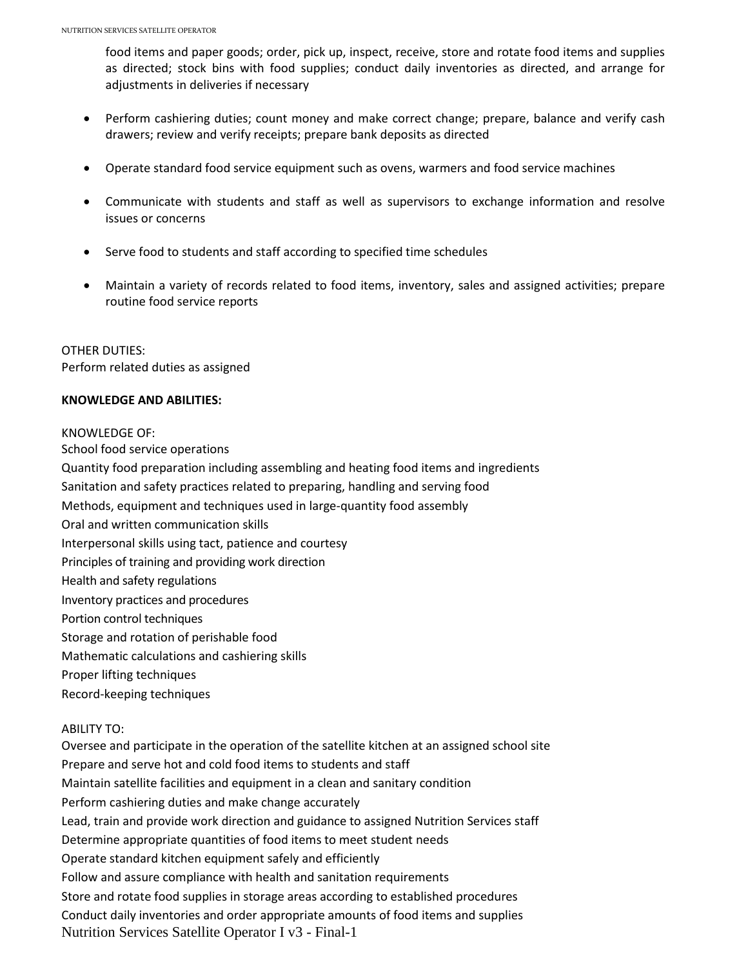food items and paper goods; order, pick up, inspect, receive, store and rotate food items and supplies as directed; stock bins with food supplies; conduct daily inventories as directed, and arrange for adjustments in deliveries if necessary

- Perform cashiering duties; count money and make correct change; prepare, balance and verify cash drawers; review and verify receipts; prepare bank deposits as directed
- Operate standard food service equipment such as ovens, warmers and food service machines
- Communicate with students and staff as well as supervisors to exchange information and resolve issues or concerns
- Serve food to students and staff according to specified time schedules
- Maintain a variety of records related to food items, inventory, sales and assigned activities; prepare routine food service reports

OTHER DUTIES: Perform related duties as assigned

# **KNOWLEDGE AND ABILITIES:**

### KNOWLEDGE OF:

School food service operations Quantity food preparation including assembling and heating food items and ingredients Sanitation and safety practices related to preparing, handling and serving food Methods, equipment and techniques used in large-quantity food assembly Oral and written communication skills Interpersonal skills using tact, patience and courtesy Principles of training and providing work direction Health and safety regulations Inventory practices and procedures Portion control techniques Storage and rotation of perishable food Mathematic calculations and cashiering skills Proper lifting techniques Record-keeping techniques ABILITY TO:

Nutrition Services Satellite Operator I v3 - Final-1 Oversee and participate in the operation of the satellite kitchen at an assigned school site Prepare and serve hot and cold food items to students and staff Maintain satellite facilities and equipment in a clean and sanitary condition Perform cashiering duties and make change accurately Lead, train and provide work direction and guidance to assigned Nutrition Services staff Determine appropriate quantities of food items to meet student needs Operate standard kitchen equipment safely and efficiently Follow and assure compliance with health and sanitation requirements Store and rotate food supplies in storage areas according to established procedures Conduct daily inventories and order appropriate amounts of food items and supplies